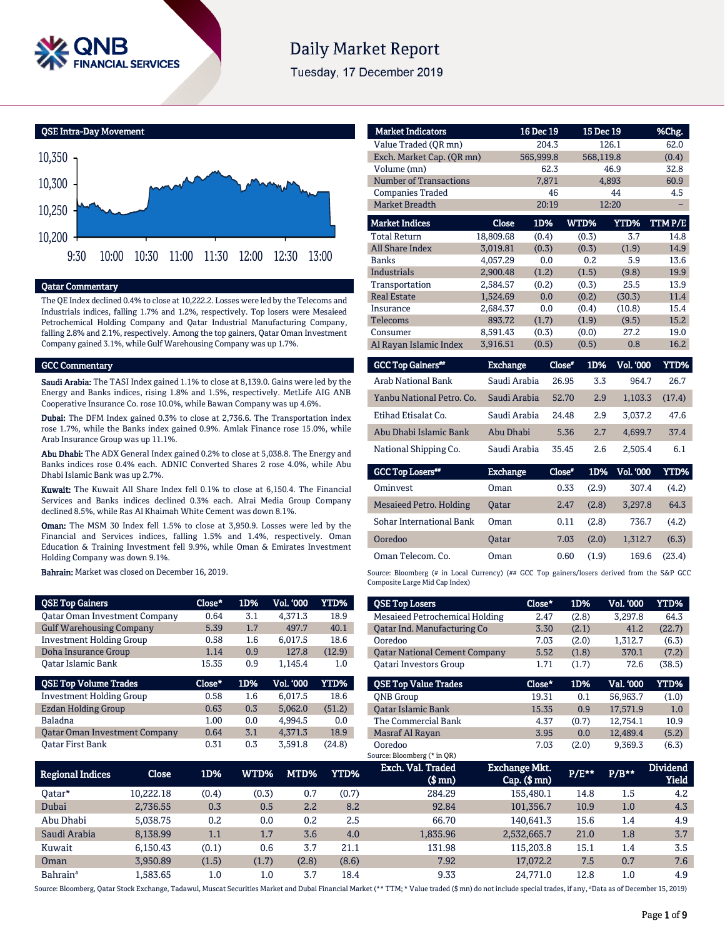

# **Daily Market Report**

Tuesday, 17 December 2019



#### Qatar Commentary

The QE Index declined 0.4% to close at 10,222.2. Losses were led by the Telecoms and Industrials indices, falling 1.7% and 1.2%, respectively. Top losers were Mesaieed Petrochemical Holding Company and Qatar Industrial Manufacturing Company, falling 2.8% and 2.1%, respectively. Among the top gainers, Qatar Oman Investment Company gained 3.1%, while Gulf Warehousing Company was up 1.7%.

#### GCC Commentary

Saudi Arabia: The TASI Index gained 1.1% to close at 8,139.0. Gains were led by the Energy and Banks indices, rising 1.8% and 1.5%, respectively. MetLife AIG ANB Cooperative Insurance Co. rose 10.0%, while Bawan Company was up 4.6%.

Dubai: The DFM Index gained 0.3% to close at 2,736.6. The Transportation index rose 1.7%, while the Banks index gained 0.9%. Amlak Finance rose 15.0%, while Arab Insurance Group was up 11.1%.

Abu Dhabi: The ADX General Index gained 0.2% to close at 5,038.8. The Energy and Banks indices rose 0.4% each. ADNIC Converted Shares 2 rose 4.0%, while Abu Dhabi Islamic Bank was up 2.7%.

Kuwait: The Kuwait All Share Index fell 0.1% to close at 6,150.4. The Financial Services and Banks indices declined 0.3% each. Alrai Media Group Company declined 8.5%, while Ras Al Khaimah White Cement was down 8.1%.

Oman: The MSM 30 Index fell 1.5% to close at 3,950.9. Losses were led by the Financial and Services indices, falling 1.5% and 1.4%, respectively. Oman Education & Training Investment fell 9.9%, while Oman & Emirates Investment Holding Company was down 9.1%.

Bahrain: Market was closed on December 16, 2019.

| <b>QSE Top Gainers</b>               | Close* | 1D% | Vol. '000        | YTD%   |
|--------------------------------------|--------|-----|------------------|--------|
| <b>Qatar Oman Investment Company</b> | 0.64   | 3.1 | 4.371.3          | 18.9   |
| <b>Gulf Warehousing Company</b>      | 5.39   | 1.7 | 497.7            | 40.1   |
| <b>Investment Holding Group</b>      | 0.58   | 1.6 | 6.017.5          | 18.6   |
| Doha Insurance Group                 | 1.14   | 0.9 | 127.8            | (12.9) |
| Oatar Islamic Bank                   | 15.35  | 0.9 | 1.145.4          | 1.0    |
|                                      |        |     |                  |        |
| <b>QSE Top Volume Trades</b>         | Close* | 1D% | <b>Vol. '000</b> | YTD%   |
| <b>Investment Holding Group</b>      | 0.58   | 1.6 | 6.017.5          | 18.6   |
| <b>Ezdan Holding Group</b>           | 0.63   | 0.3 | 5.062.0          | (51.2) |
| <b>Baladna</b>                       | 1.00   | 0.0 | 4.994.5          | 0.0    |
| <b>Qatar Oman Investment Company</b> | 0.64   | 3.1 | 4.371.3          | 18.9   |

| <b>Market Indicators</b>      |                          | 16 Dec 19 | 15 Dec 19                     |                      | %Chg.                |
|-------------------------------|--------------------------|-----------|-------------------------------|----------------------|----------------------|
| Value Traded (OR mn)          |                          | 204.3     |                               | 126.1                | 62.0                 |
| Exch. Market Cap. (QR mn)     |                          | 565,999.8 | 568,119.8                     |                      | (0.4)                |
| Volume (mn)                   |                          | 62.3      |                               | 46.9                 | 32.8                 |
| <b>Number of Transactions</b> |                          | 7,871     |                               | 4,893                | 60.9                 |
| <b>Companies Traded</b>       |                          | 46        |                               | 44                   | 4.5                  |
| <b>Market Breadth</b>         |                          | 20:19     |                               | 12:20                |                      |
| <b>Market Indices</b>         | Close                    | 1D%       | WTD%                          | YTD%                 | TTMP/E               |
| <b>Total Return</b>           | 18,809.68                | (0.4)     | (0.3)                         | 3.7                  | 14.8                 |
| <b>All Share Index</b>        | 3,019.81                 | (0.3)     | (0.3)                         | (1.9)                | 14.9                 |
| <b>Banks</b>                  | 4,057.29                 | 0.0       | 0.2                           | 5.9                  | 13.6                 |
| <b>Industrials</b>            | 2,900.48                 | (1.2)     | (1.5)                         | (9.8)                | 19.9                 |
| Transportation                | 2,584.57                 | (0.2)     | (0.3)                         | 25.5                 | 13.9                 |
| <b>Real Estate</b>            | 1,524.69                 | 0.0       | (0.2)                         | (30.3)               | 11.4                 |
| Insurance                     | 2,684.37                 | 0.0       | (0.4)                         | (10.8)               | 15.4                 |
| <b>Telecoms</b>               | 893.72                   | (1.7)     | (1.9)                         | (9.5)                | 15.2                 |
| Consumer                      | 8,591.43                 | (0.3)     | (0.0)                         | 27.2                 | 19.0                 |
| Al Rayan Islamic Index        | 3,916.51                 | (0.5)     | (0.5)                         | 0.8                  | 16.2                 |
| <b>GCC Top Gainers</b> **     | <b>Exchange</b>          |           | Close"<br>1D%                 | <b>Vol. '000</b>     | YTD%                 |
|                               | $\sim$ $\cdots$ $\cdots$ |           | $\sim$ $\sim$ $\sim$<br>$- -$ | $\sim$ $\sim$ $\sim$ | $\sim$ $\sim$ $\sim$ |

| Arab National Bank        | Saudi Arabia | 26.95 | 3.3 | 964.7   | 26.7   |
|---------------------------|--------------|-------|-----|---------|--------|
| Yanbu National Petro, Co. | Saudi Arabia | 52.70 | 2.9 | 1.103.3 | (17.4) |
| Etihad Etisalat Co.       | Saudi Arabia | 24.48 | 2.9 | 3.037.2 | 47.6   |
| Abu Dhabi Islamic Bank    | Abu Dhabi    | 5.36  | 2.7 | 4.699.7 | 37.4   |
| National Shipping Co.     | Saudi Arabia | 35.45 | 2.6 | 2.505.4 | 6.1    |

| <b>GCC Top Losers"</b>          | <b>Exchange</b> | Close* |       | 1D% Vol. 000 | YTD%   |
|---------------------------------|-----------------|--------|-------|--------------|--------|
| Ominyest                        | Oman            | 0.33   | (2.9) | 307.4        | (4.2)  |
| Mesaieed Petro. Holding         | <b>Oatar</b>    | 2.47   | (2.8) | 3.297.8      | 64.3   |
| <b>Sohar International Bank</b> | Oman            | 0.11   | (2.8) | 736.7        | (4.2)  |
| Ooredoo                         | <b>Oatar</b>    | 7.03   | (2.0) | 1.312.7      | (6.3)  |
| Oman Telecom, Co.               | Oman            | 0.60   | (1.9) | 169.6        | (23.4) |

Source: Bloomberg (# in Local Currency) (## GCC Top gainers/losers derived from the S&P GCC Composite Large Mid Cap Index)

| <b>QSE Top Losers</b>                  | Close* | 1D%   | <b>Vol. '000</b> | YTD%   |
|----------------------------------------|--------|-------|------------------|--------|
| Mesaieed Petrochemical Holding         | 2.47   | (2.8) | 3.297.8          | 64.3   |
| Oatar Ind. Manufacturing Co            | 3.30   | (2.1) | 41.2             | (22.7) |
| Ooredoo                                | 7.03   | (2.0) | 1,312.7          | (6.3)  |
| <b>Oatar National Cement Company</b>   | 5.52   | (1.8) | 370.1            | (7.2)  |
| <b>Oatari Investors Group</b>          | 1.71   | (1.7) | 72.6             | (38.5) |
| <b>OSE Top Value Trades</b>            | Close* | 1D%   | Val. '000        | YTD%   |
| <b>ONB</b> Group                       | 19.31  | 0.1   | 56.963.7         | (1.0)  |
| <b>Oatar Islamic Bank</b>              | 15.35  | 0.9   | 17.571.9         | 1.0    |
| The Commercial Bank                    | 4.37   | (0.7) | 12.754.1         | 10.9   |
| Masraf Al Rayan                        | 3.95   | 0.0   | 12,489.4         | (5.2)  |
| Ooredoo<br>Source: Bloomberg (* in QR) | 7.03   | (2.0) | 9,369.3          | (6.3)  |

| <b>Regional Indices</b> | Close     | 1D%   | WTD%    | MTD%  | YTD%  | Exch. Val. Traded<br>$$$ mn) | Exchange Mkt.<br>$Cap.$ ( $$rm)$ ) | P/E** | $P/B**$ | <b>Dividend</b><br><b>Yield</b> |
|-------------------------|-----------|-------|---------|-------|-------|------------------------------|------------------------------------|-------|---------|---------------------------------|
| 0atar*                  | 10.222.18 | (0.4) | (0.3)   | 0.7   | (0.7) | 284.29                       | 155,480.1                          | 14.8  | 1.5     | 4.2                             |
| Dubai                   | 2,736.55  | 0.3   | 0.5     | 2.2   | 8.2   | 92.84                        | 101.356.7                          | 10.9  | 1.0     | 4.3                             |
| Abu Dhabi               | 5.038.75  | 0.2   | 0.0     | 0.2   | 2.5   | 66.70                        | 140.641.3                          | 15.6  | 1.4     | 4.9                             |
| Saudi Arabia            | 8,138.99  | 1.1   | 1.7     | 3.6   | 4.0   | 1,835.96                     | 2,532,665.7                        | 21.0  | 1.8     | 3.7                             |
| Kuwait                  | 6.150.43  | (0.1) | 0.6     | 3.7   | 21.1  | 131.98                       | 115,203.8                          | 15.1  | 1.4     | 3.5                             |
| Oman                    | 3.950.89  | (1.5) | (1.7)   | (2.8) | (8.6) | 7.92                         | 17.072.2                           | 7.5   | 0.7     | 7.6                             |
| Bahrain <sup>#</sup>    | .583.65   | 1.0   | $1.0\,$ | 3.7   | 18.4  | 9.33                         | 24.771.0                           | 12.8  | $1.0\,$ | 4.9                             |

Source: Bloomberg, Qatar Stock Exchange, Tadawul, Muscat Securities Market and Dubai Financial Market (\*\* TTM; \* Value traded (\$ mn) do not include special trades, if any, #Data as of December 15, 2019)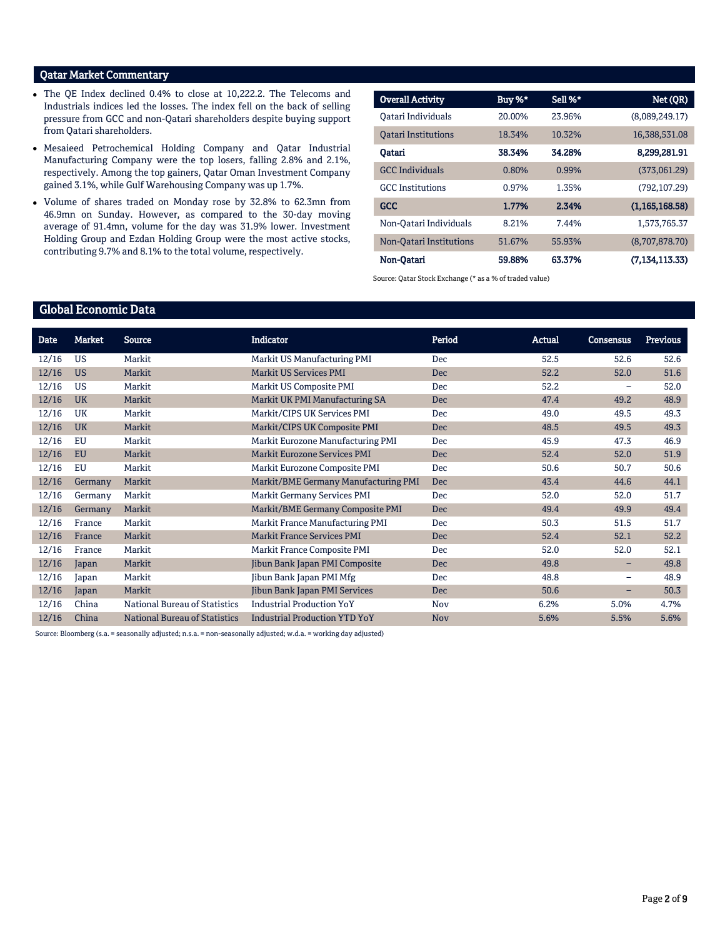# Qatar Market Commentary

- The QE Index declined 0.4% to close at 10,222.2. The Telecoms and Industrials indices led the losses. The index fell on the back of selling pressure from GCC and non-Qatari shareholders despite buying support from Qatari shareholders.
- Mesaieed Petrochemical Holding Company and Qatar Industrial Manufacturing Company were the top losers, falling 2.8% and 2.1%, respectively. Among the top gainers, Qatar Oman Investment Company gained 3.1%, while Gulf Warehousing Company was up 1.7%.
- Volume of shares traded on Monday rose by 32.8% to 62.3mn from 46.9mn on Sunday. However, as compared to the 30-day moving average of 91.4mn, volume for the day was 31.9% lower. Investment Holding Group and Ezdan Holding Group were the most active stocks, contributing 9.7% and 8.1% to the total volume, respectively.

| <b>Overall Activity</b>    | Buy %* | Sell %* | Net (QR)          |
|----------------------------|--------|---------|-------------------|
| Oatari Individuals         | 20.00% | 23.96%  | (8,089,249,17)    |
| <b>Oatari Institutions</b> | 18.34% | 10.32%  | 16,388,531.08     |
| Oatari                     | 38.34% | 34.28%  | 8,299,281.91      |
| <b>GCC</b> Individuals     | 0.80%  | 0.99%   | (373,061.29)      |
| <b>GCC</b> Institutions    | 0.97%  | 1.35%   | (792, 107.29)     |
| GCC                        | 1.77%  | 2.34%   | (1, 165, 168.58)  |
| Non-Oatari Individuals     | 8.21%  | 7.44%   | 1.573.765.37      |
| Non-Oatari Institutions    | 51.67% | 55.93%  | (8.707.878.70)    |
| Non-Oatari                 | 59.88% | 63.37%  | (7, 134, 113, 33) |

Source: Qatar Stock Exchange (\* as a % of traded value)

# Global Economic Data

| Date  | <b>Market</b> | <b>Source</b>                        | <b>Indicator</b>                     | Period     | Actual | <b>Consensus</b>         | <b>Previous</b> |
|-------|---------------|--------------------------------------|--------------------------------------|------------|--------|--------------------------|-----------------|
| 12/16 | <b>US</b>     | Markit                               | Markit US Manufacturing PMI          | Dec.       | 52.5   | 52.6                     | 52.6            |
| 12/16 | <b>US</b>     | Markit                               | <b>Markit US Services PMI</b>        | <b>Dec</b> | 52.2   | 52.0                     | 51.6            |
| 12/16 | <b>US</b>     | Markit                               | Markit US Composite PMI              | Dec.       | 52.2   | $\qquad \qquad -$        | 52.0            |
| 12/16 | <b>UK</b>     | Markit                               | Markit UK PMI Manufacturing SA       | Dec        | 47.4   | 49.2                     | 48.9            |
| 12/16 | UK            | Markit                               | Markit/CIPS UK Services PMI          | Dec        | 49.0   | 49.5                     | 49.3            |
| 12/16 | <b>UK</b>     | Markit                               | Markit/CIPS UK Composite PMI         | Dec        | 48.5   | 49.5                     | 49.3            |
| 12/16 | EU            | Markit                               | Markit Eurozone Manufacturing PMI    | Dec        | 45.9   | 47.3                     | 46.9            |
| 12/16 | <b>EU</b>     | Markit                               | <b>Markit Eurozone Services PMI</b>  | Dec        | 52.4   | 52.0                     | 51.9            |
| 12/16 | EU            | Markit                               | Markit Eurozone Composite PMI        | Dec        | 50.6   | 50.7                     | 50.6            |
| 12/16 | Germany       | Markit                               | Markit/BME Germany Manufacturing PMI | Dec        | 43.4   | 44.6                     | 44.1            |
| 12/16 | Germany       | Markit                               | Markit Germany Services PMI          | Dec        | 52.0   | 52.0                     | 51.7            |
| 12/16 | Germany       | Markit                               | Markit/BME Germany Composite PMI     | <b>Dec</b> | 49.4   | 49.9                     | 49.4            |
| 12/16 | France        | Markit                               | Markit France Manufacturing PMI      | Dec        | 50.3   | 51.5                     | 51.7            |
| 12/16 | France        | Markit                               | <b>Markit France Services PMI</b>    | Dec.       | 52.4   | 52.1                     | 52.2            |
| 12/16 | France        | Markit                               | Markit France Composite PMI          | Dec        | 52.0   | 52.0                     | 52.1            |
| 12/16 | Japan         | Markit                               | Jibun Bank Japan PMI Composite       | <b>Dec</b> | 49.8   | -                        | 49.8            |
| 12/16 | Japan         | Markit                               | Jibun Bank Japan PMI Mfg             | Dec        | 48.8   | $\overline{\phantom{0}}$ | 48.9            |
| 12/16 | Japan         | Markit                               | Jibun Bank Japan PMI Services        | Dec        | 50.6   | -                        | 50.3            |
| 12/16 | China         | National Bureau of Statistics        | <b>Industrial Production YoY</b>     | Nov        | 6.2%   | 5.0%                     | 4.7%            |
| 12/16 | China         | <b>National Bureau of Statistics</b> | <b>Industrial Production YTD YoY</b> | <b>Nov</b> | 5.6%   | 5.5%                     | 5.6%            |

Source: Bloomberg (s.a. = seasonally adjusted; n.s.a. = non-seasonally adjusted; w.d.a. = working day adjusted)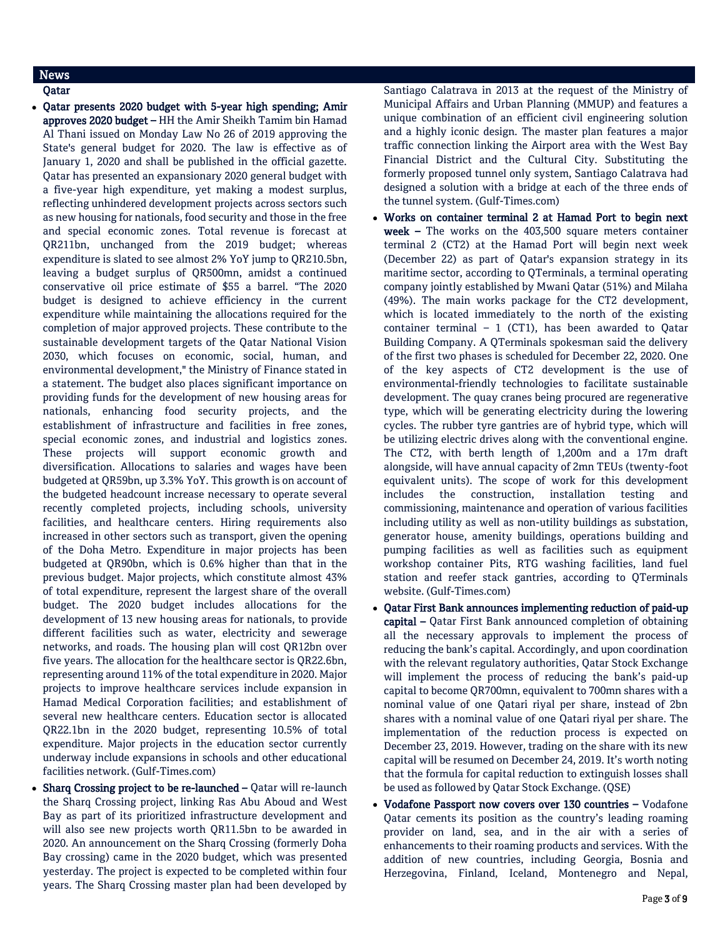# News

Qatar

- Qatar presents 2020 budget with 5-year high spending; Amir approves 2020 budget – HH the Amir Sheikh Tamim bin Hamad Al Thani issued on Monday Law No 26 of 2019 approving the State's general budget for 2020. The law is effective as of January 1, 2020 and shall be published in the official gazette. Qatar has presented an expansionary 2020 general budget with a five-year high expenditure, yet making a modest surplus, reflecting unhindered development projects across sectors such as new housing for nationals, food security and those in the free and special economic zones. Total revenue is forecast at QR211bn, unchanged from the 2019 budget; whereas expenditure is slated to see almost 2% YoY jump to QR210.5bn, leaving a budget surplus of QR500mn, amidst a continued conservative oil price estimate of \$55 a barrel. "The 2020 budget is designed to achieve efficiency in the current expenditure while maintaining the allocations required for the completion of major approved projects. These contribute to the sustainable development targets of the Qatar National Vision 2030, which focuses on economic, social, human, and environmental development," the Ministry of Finance stated in a statement. The budget also places significant importance on providing funds for the development of new housing areas for nationals, enhancing food security projects, and the establishment of infrastructure and facilities in free zones, special economic zones, and industrial and logistics zones. These projects will support economic growth and diversification. Allocations to salaries and wages have been budgeted at QR59bn, up 3.3% YoY. This growth is on account of the budgeted headcount increase necessary to operate several recently completed projects, including schools, university facilities, and healthcare centers. Hiring requirements also increased in other sectors such as transport, given the opening of the Doha Metro. Expenditure in major projects has been budgeted at QR90bn, which is 0.6% higher than that in the previous budget. Major projects, which constitute almost 43% of total expenditure, represent the largest share of the overall budget. The 2020 budget includes allocations for the development of 13 new housing areas for nationals, to provide different facilities such as water, electricity and sewerage networks, and roads. The housing plan will cost QR12bn over five years. The allocation for the healthcare sector is QR22.6bn, representing around 11% of the total expenditure in 2020. Major projects to improve healthcare services include expansion in Hamad Medical Corporation facilities; and establishment of several new healthcare centers. Education sector is allocated QR22.1bn in the 2020 budget, representing 10.5% of total expenditure. Major projects in the education sector currently underway include expansions in schools and other educational facilities network. (Gulf-Times.com)
- Sharq Crossing project to be re-launched Qatar will re-launch the Sharq Crossing project, linking Ras Abu Aboud and West Bay as part of its prioritized infrastructure development and will also see new projects worth QR11.5bn to be awarded in 2020. An announcement on the Sharq Crossing (formerly Doha Bay crossing) came in the 2020 budget, which was presented yesterday. The project is expected to be completed within four years. The Sharq Crossing master plan had been developed by

Santiago Calatrava in 2013 at the request of the Ministry of Municipal Affairs and Urban Planning (MMUP) and features a unique combination of an efficient civil engineering solution and a highly iconic design. The master plan features a major traffic connection linking the Airport area with the West Bay Financial District and the Cultural City. Substituting the formerly proposed tunnel only system, Santiago Calatrava had designed a solution with a bridge at each of the three ends of the tunnel system. (Gulf-Times.com)

- Works on container terminal 2 at Hamad Port to begin next week - The works on the 403,500 square meters container terminal 2 (CT2) at the Hamad Port will begin next week (December 22) as part of Qatar's expansion strategy in its maritime sector, according to QTerminals, a terminal operating company jointly established by Mwani Qatar (51%) and Milaha (49%). The main works package for the CT2 development, which is located immediately to the north of the existing container terminal  $-1$  (CT1), has been awarded to Oatar Building Company. A QTerminals spokesman said the delivery of the first two phases is scheduled for December 22, 2020. One of the key aspects of CT2 development is the use of environmental-friendly technologies to facilitate sustainable development. The quay cranes being procured are regenerative type, which will be generating electricity during the lowering cycles. The rubber tyre gantries are of hybrid type, which will be utilizing electric drives along with the conventional engine. The CT2, with berth length of 1,200m and a 17m draft alongside, will have annual capacity of 2mn TEUs (twenty-foot equivalent units). The scope of work for this development includes the construction, installation testing and commissioning, maintenance and operation of various facilities including utility as well as non-utility buildings as substation, generator house, amenity buildings, operations building and pumping facilities as well as facilities such as equipment workshop container Pits, RTG washing facilities, land fuel station and reefer stack gantries, according to QTerminals website. (Gulf-Times.com)
- Qatar First Bank announces implementing reduction of paid-up capital – Qatar First Bank announced completion of obtaining all the necessary approvals to implement the process of reducing the bank's capital. Accordingly, and upon coordination with the relevant regulatory authorities, Qatar Stock Exchange will implement the process of reducing the bank's paid-up capital to become QR700mn, equivalent to 700mn shares with a nominal value of one Qatari riyal per share, instead of 2bn shares with a nominal value of one Qatari riyal per share. The implementation of the reduction process is expected on December 23, 2019. However, trading on the share with its new capital will be resumed on December 24, 2019. It's worth noting that the formula for capital reduction to extinguish losses shall be used as followed by Qatar Stock Exchange. (QSE)
- Vodafone Passport now covers over 130 countries Vodafone Qatar cements its position as the country's leading roaming provider on land, sea, and in the air with a series of enhancements to their roaming products and services. With the addition of new countries, including Georgia, Bosnia and Herzegovina, Finland, Iceland, Montenegro and Nepal,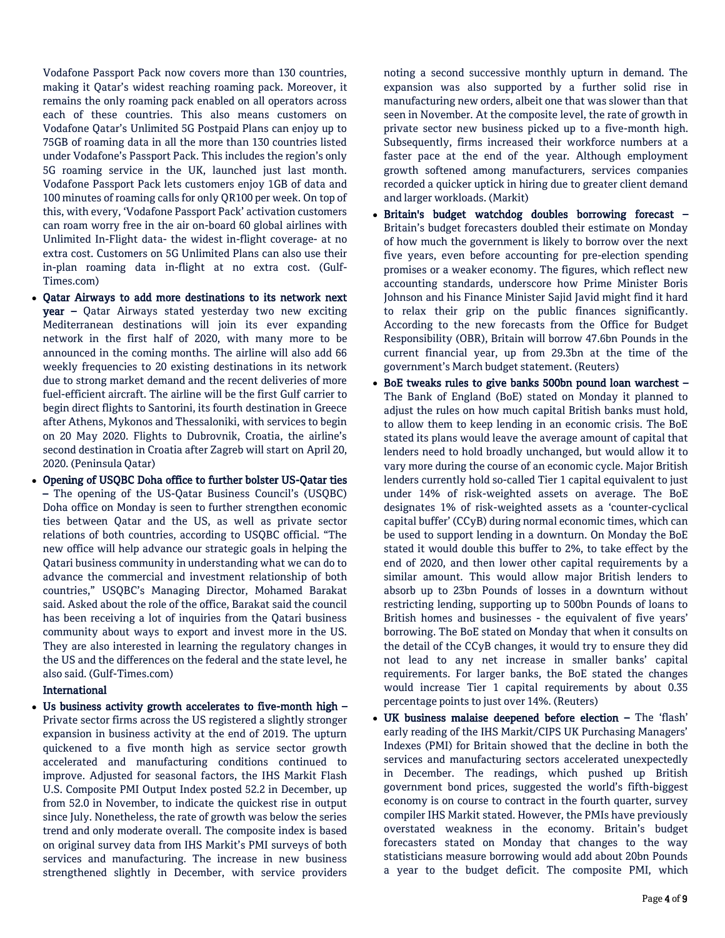Vodafone Passport Pack now covers more than 130 countries, making it Qatar's widest reaching roaming pack. Moreover, it remains the only roaming pack enabled on all operators across each of these countries. This also means customers on Vodafone Qatar's Unlimited 5G Postpaid Plans can enjoy up to 75GB of roaming data in all the more than 130 countries listed under Vodafone's Passport Pack. This includes the region's only 5G roaming service in the UK, launched just last month. Vodafone Passport Pack lets customers enjoy 1GB of data and 100 minutes of roaming calls for only QR100 per week. On top of this, with every, 'Vodafone Passport Pack' activation customers can roam worry free in the air on-board 60 global airlines with Unlimited In-Flight data- the widest in-flight coverage- at no extra cost. Customers on 5G Unlimited Plans can also use their in-plan roaming data in-flight at no extra cost. (Gulf-Times.com)

- Qatar Airways to add more destinations to its network next year – Qatar Airways stated yesterday two new exciting Mediterranean destinations will join its ever expanding network in the first half of 2020, with many more to be announced in the coming months. The airline will also add 66 weekly frequencies to 20 existing destinations in its network due to strong market demand and the recent deliveries of more fuel-efficient aircraft. The airline will be the first Gulf carrier to begin direct flights to Santorini, its fourth destination in Greece after Athens, Mykonos and Thessaloniki, with services to begin on 20 May 2020. Flights to Dubrovnik, Croatia, the airline's second destination in Croatia after Zagreb will start on April 20, 2020. (Peninsula Qatar)
- Opening of USQBC Doha office to further bolster US-Qatar ties – The opening of the US-Qatar Business Council's (USQBC) Doha office on Monday is seen to further strengthen economic ties between Qatar and the US, as well as private sector relations of both countries, according to USQBC official. "The new office will help advance our strategic goals in helping the Qatari business community in understanding what we can do to advance the commercial and investment relationship of both countries," USQBC's Managing Director, Mohamed Barakat said. Asked about the role of the office, Barakat said the council has been receiving a lot of inquiries from the Qatari business community about ways to export and invest more in the US. They are also interested in learning the regulatory changes in the US and the differences on the federal and the state level, he also said. (Gulf-Times.com)

### International

 Us business activity growth accelerates to five-month high – Private sector firms across the US registered a slightly stronger expansion in business activity at the end of 2019. The upturn quickened to a five month high as service sector growth accelerated and manufacturing conditions continued to improve. Adjusted for seasonal factors, the IHS Markit Flash U.S. Composite PMI Output Index posted 52.2 in December, up from 52.0 in November, to indicate the quickest rise in output since July. Nonetheless, the rate of growth was below the series trend and only moderate overall. The composite index is based on original survey data from IHS Markit's PMI surveys of both services and manufacturing. The increase in new business strengthened slightly in December, with service providers

noting a second successive monthly upturn in demand. The expansion was also supported by a further solid rise in manufacturing new orders, albeit one that was slower than that seen in November. At the composite level, the rate of growth in private sector new business picked up to a five-month high. Subsequently, firms increased their workforce numbers at a faster pace at the end of the year. Although employment growth softened among manufacturers, services companies recorded a quicker uptick in hiring due to greater client demand and larger workloads. (Markit)

- Britain's budget watchdog doubles borrowing forecast Britain's budget forecasters doubled their estimate on Monday of how much the government is likely to borrow over the next five years, even before accounting for pre-election spending promises or a weaker economy. The figures, which reflect new accounting standards, underscore how Prime Minister Boris Johnson and his Finance Minister Sajid Javid might find it hard to relax their grip on the public finances significantly. According to the new forecasts from the Office for Budget Responsibility (OBR), Britain will borrow 47.6bn Pounds in the current financial year, up from 29.3bn at the time of the government's March budget statement. (Reuters)
- BoE tweaks rules to give banks 500bn pound loan warchest The Bank of England (BoE) stated on Monday it planned to adjust the rules on how much capital British banks must hold, to allow them to keep lending in an economic crisis. The BoE stated its plans would leave the average amount of capital that lenders need to hold broadly unchanged, but would allow it to vary more during the course of an economic cycle. Major British lenders currently hold so-called Tier 1 capital equivalent to just under 14% of risk-weighted assets on average. The BoE designates 1% of risk-weighted assets as a 'counter-cyclical capital buffer' (CCyB) during normal economic times, which can be used to support lending in a downturn. On Monday the BoE stated it would double this buffer to 2%, to take effect by the end of 2020, and then lower other capital requirements by a similar amount. This would allow major British lenders to absorb up to 23bn Pounds of losses in a downturn without restricting lending, supporting up to 500bn Pounds of loans to British homes and businesses - the equivalent of five years' borrowing. The BoE stated on Monday that when it consults on the detail of the CCyB changes, it would try to ensure they did not lead to any net increase in smaller banks' capital requirements. For larger banks, the BoE stated the changes would increase Tier 1 capital requirements by about 0.35 percentage points to just over 14%. (Reuters)
- UK business malaise deepened before election The 'flash' early reading of the IHS Markit/CIPS UK Purchasing Managers' Indexes (PMI) for Britain showed that the decline in both the services and manufacturing sectors accelerated unexpectedly in December. The readings, which pushed up British government bond prices, suggested the world's fifth-biggest economy is on course to contract in the fourth quarter, survey compiler IHS Markit stated. However, the PMIs have previously overstated weakness in the economy. Britain's budget forecasters stated on Monday that changes to the way statisticians measure borrowing would add about 20bn Pounds a year to the budget deficit. The composite PMI, which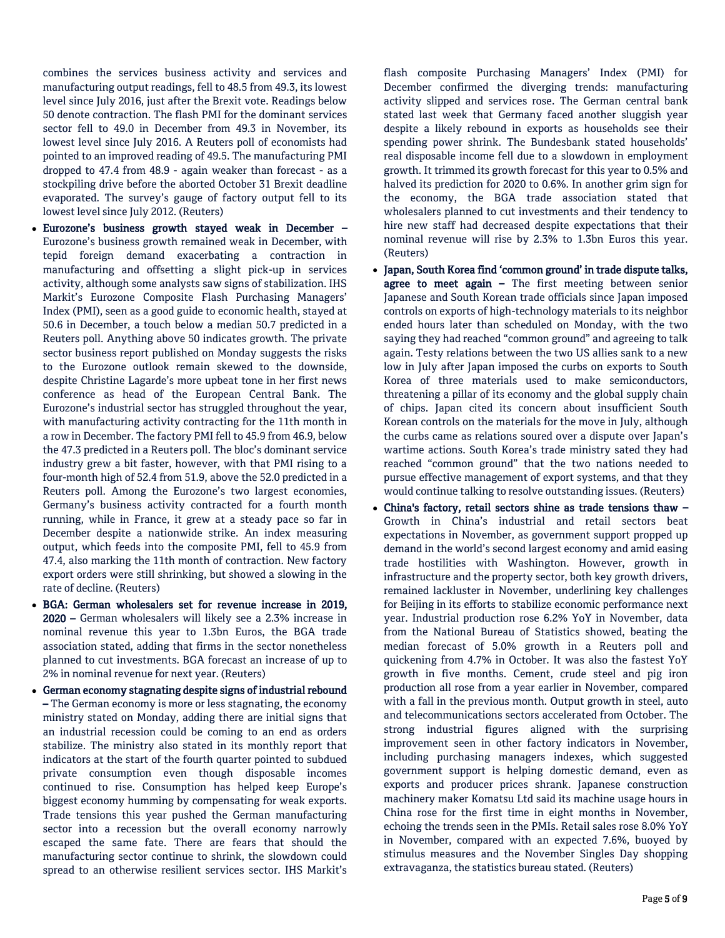combines the services business activity and services and manufacturing output readings, fell to 48.5 from 49.3, its lowest level since July 2016, just after the Brexit vote. Readings below 50 denote contraction. The flash PMI for the dominant services sector fell to 49.0 in December from 49.3 in November, its lowest level since July 2016. A Reuters poll of economists had pointed to an improved reading of 49.5. The manufacturing PMI dropped to 47.4 from 48.9 - again weaker than forecast - as a stockpiling drive before the aborted October 31 Brexit deadline evaporated. The survey's gauge of factory output fell to its lowest level since July 2012. (Reuters)

- Eurozone's business growth stayed weak in December Eurozone's business growth remained weak in December, with tepid foreign demand exacerbating a contraction in manufacturing and offsetting a slight pick-up in services activity, although some analysts saw signs of stabilization. IHS Markit's Eurozone Composite Flash Purchasing Managers' Index (PMI), seen as a good guide to economic health, stayed at 50.6 in December, a touch below a median 50.7 predicted in a Reuters poll. Anything above 50 indicates growth. The private sector business report published on Monday suggests the risks to the Eurozone outlook remain skewed to the downside, despite Christine Lagarde's more upbeat tone in her first news conference as head of the European Central Bank. The Eurozone's industrial sector has struggled throughout the year, with manufacturing activity contracting for the 11th month in a row in December. The factory PMI fell to 45.9 from 46.9, below the 47.3 predicted in a Reuters poll. The bloc's dominant service industry grew a bit faster, however, with that PMI rising to a four-month high of 52.4 from 51.9, above the 52.0 predicted in a Reuters poll. Among the Eurozone's two largest economies, Germany's business activity contracted for a fourth month running, while in France, it grew at a steady pace so far in December despite a nationwide strike. An index measuring output, which feeds into the composite PMI, fell to 45.9 from 47.4, also marking the 11th month of contraction. New factory export orders were still shrinking, but showed a slowing in the rate of decline. (Reuters)
- BGA: German wholesalers set for revenue increase in 2019, 2020 – German wholesalers will likely see a 2.3% increase in nominal revenue this year to 1.3bn Euros, the BGA trade association stated, adding that firms in the sector nonetheless planned to cut investments. BGA forecast an increase of up to 2% in nominal revenue for next year. (Reuters)
- German economy stagnating despite signs of industrial rebound – The German economy is more or less stagnating, the economy ministry stated on Monday, adding there are initial signs that an industrial recession could be coming to an end as orders stabilize. The ministry also stated in its monthly report that indicators at the start of the fourth quarter pointed to subdued private consumption even though disposable incomes continued to rise. Consumption has helped keep Europe's biggest economy humming by compensating for weak exports. Trade tensions this year pushed the German manufacturing sector into a recession but the overall economy narrowly escaped the same fate. There are fears that should the manufacturing sector continue to shrink, the slowdown could spread to an otherwise resilient services sector. IHS Markit's

flash composite Purchasing Managers' Index (PMI) for December confirmed the diverging trends: manufacturing activity slipped and services rose. The German central bank stated last week that Germany faced another sluggish year despite a likely rebound in exports as households see their spending power shrink. The Bundesbank stated households' real disposable income fell due to a slowdown in employment growth. It trimmed its growth forecast for this year to 0.5% and halved its prediction for 2020 to 0.6%. In another grim sign for the economy, the BGA trade association stated that wholesalers planned to cut investments and their tendency to hire new staff had decreased despite expectations that their nominal revenue will rise by 2.3% to 1.3bn Euros this year. (Reuters)

- Japan, South Korea find 'common ground' in trade dispute talks, agree to meet again - The first meeting between senior Japanese and South Korean trade officials since Japan imposed controls on exports of high-technology materials to its neighbor ended hours later than scheduled on Monday, with the two saying they had reached "common ground" and agreeing to talk again. Testy relations between the two US allies sank to a new low in July after Japan imposed the curbs on exports to South Korea of three materials used to make semiconductors, threatening a pillar of its economy and the global supply chain of chips. Japan cited its concern about insufficient South Korean controls on the materials for the move in July, although the curbs came as relations soured over a dispute over Japan's wartime actions. South Korea's trade ministry sated they had reached "common ground" that the two nations needed to pursue effective management of export systems, and that they would continue talking to resolve outstanding issues. (Reuters)
- China's factory, retail sectors shine as trade tensions thaw Growth in China's industrial and retail sectors beat expectations in November, as government support propped up demand in the world's second largest economy and amid easing trade hostilities with Washington. However, growth in infrastructure and the property sector, both key growth drivers, remained lackluster in November, underlining key challenges for Beijing in its efforts to stabilize economic performance next year. Industrial production rose 6.2% YoY in November, data from the National Bureau of Statistics showed, beating the median forecast of 5.0% growth in a Reuters poll and quickening from 4.7% in October. It was also the fastest YoY growth in five months. Cement, crude steel and pig iron production all rose from a year earlier in November, compared with a fall in the previous month. Output growth in steel, auto and telecommunications sectors accelerated from October. The strong industrial figures aligned with the surprising improvement seen in other factory indicators in November, including purchasing managers indexes, which suggested government support is helping domestic demand, even as exports and producer prices shrank. Japanese construction machinery maker Komatsu Ltd said its machine usage hours in China rose for the first time in eight months in November, echoing the trends seen in the PMIs. Retail sales rose 8.0% YoY in November, compared with an expected 7.6%, buoyed by stimulus measures and the November Singles Day shopping extravaganza, the statistics bureau stated. (Reuters)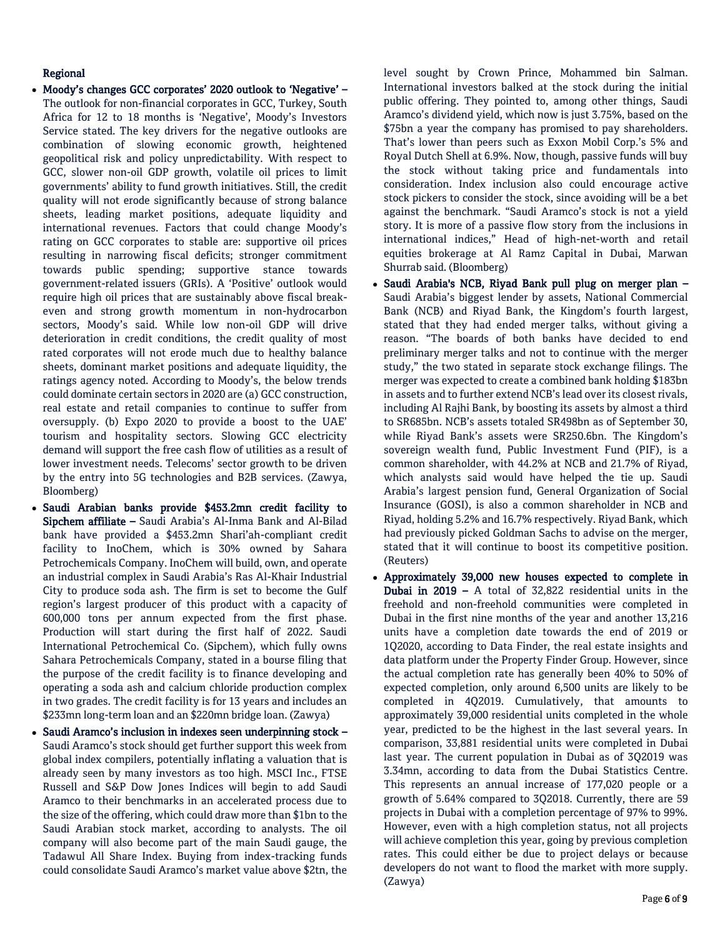## Regional

- Moody's changes GCC corporates' 2020 outlook to 'Negative' The outlook for non-financial corporates in GCC, Turkey, South Africa for 12 to 18 months is 'Negative', Moody's Investors Service stated. The key drivers for the negative outlooks are combination of slowing economic growth, heightened geopolitical risk and policy unpredictability. With respect to GCC, slower non-oil GDP growth, volatile oil prices to limit governments' ability to fund growth initiatives. Still, the credit quality will not erode significantly because of strong balance sheets, leading market positions, adequate liquidity and international revenues. Factors that could change Moody's rating on GCC corporates to stable are: supportive oil prices resulting in narrowing fiscal deficits; stronger commitment towards public spending; supportive stance towards government-related issuers (GRIs). A 'Positive' outlook would require high oil prices that are sustainably above fiscal breakeven and strong growth momentum in non-hydrocarbon sectors, Moody's said. While low non-oil GDP will drive deterioration in credit conditions, the credit quality of most rated corporates will not erode much due to healthy balance sheets, dominant market positions and adequate liquidity, the ratings agency noted. According to Moody's, the below trends could dominate certain sectors in 2020 are (a) GCC construction, real estate and retail companies to continue to suffer from oversupply. (b) Expo 2020 to provide a boost to the UAE' tourism and hospitality sectors. Slowing GCC electricity demand will support the free cash flow of utilities as a result of lower investment needs. Telecoms' sector growth to be driven by the entry into 5G technologies and B2B services. (Zawya, Bloomberg)
- Saudi Arabian banks provide \$453.2mn credit facility to Sipchem affiliate – Saudi Arabia's Al-Inma Bank and Al-Bilad bank have provided a \$453.2mn Shari'ah-compliant credit facility to InoChem, which is 30% owned by Sahara Petrochemicals Company. InoChem will build, own, and operate an industrial complex in Saudi Arabia's Ras Al-Khair Industrial City to produce soda ash. The firm is set to become the Gulf region's largest producer of this product with a capacity of 600,000 tons per annum expected from the first phase. Production will start during the first half of 2022. Saudi International Petrochemical Co. (Sipchem), which fully owns Sahara Petrochemicals Company, stated in a bourse filing that the purpose of the credit facility is to finance developing and operating a soda ash and calcium chloride production complex in two grades. The credit facility is for 13 years and includes an \$233mn long-term loan and an \$220mn bridge loan. (Zawya)
- Saudi Aramco's inclusion in indexes seen underpinning stock Saudi Aramco's stock should get further support this week from global index compilers, potentially inflating a valuation that is already seen by many investors as too high. MSCI Inc., FTSE Russell and S&P Dow Jones Indices will begin to add Saudi Aramco to their benchmarks in an accelerated process due to the size of the offering, which could draw more than \$1bn to the Saudi Arabian stock market, according to analysts. The oil company will also become part of the main Saudi gauge, the Tadawul All Share Index. Buying from index-tracking funds could consolidate Saudi Aramco's market value above \$2tn, the

level sought by Crown Prince, Mohammed bin Salman. International investors balked at the stock during the initial public offering. They pointed to, among other things, Saudi Aramco's dividend yield, which now is just 3.75%, based on the \$75bn a year the company has promised to pay shareholders. That's lower than peers such as Exxon Mobil Corp.'s 5% and Royal Dutch Shell at 6.9%. Now, though, passive funds will buy the stock without taking price and fundamentals into consideration. Index inclusion also could encourage active stock pickers to consider the stock, since avoiding will be a bet against the benchmark. "Saudi Aramco's stock is not a yield story. It is more of a passive flow story from the inclusions in international indices," Head of high-net-worth and retail equities brokerage at Al Ramz Capital in Dubai, Marwan Shurrab said. (Bloomberg)

- Saudi Arabia's NCB, Riyad Bank pull plug on merger plan Saudi Arabia's biggest lender by assets, National Commercial Bank (NCB) and Riyad Bank, the Kingdom's fourth largest, stated that they had ended merger talks, without giving a reason. "The boards of both banks have decided to end preliminary merger talks and not to continue with the merger study," the two stated in separate stock exchange filings. The merger was expected to create a combined bank holding \$183bn in assets and to further extend NCB's lead over its closest rivals, including Al Rajhi Bank, by boosting its assets by almost a third to SR685bn. NCB's assets totaled SR498bn as of September 30, while Riyad Bank's assets were SR250.6bn. The Kingdom's sovereign wealth fund, Public Investment Fund (PIF), is a common shareholder, with 44.2% at NCB and 21.7% of Riyad, which analysts said would have helped the tie up. Saudi Arabia's largest pension fund, General Organization of Social Insurance (GOSI), is also a common shareholder in NCB and Riyad, holding 5.2% and 16.7% respectively. Riyad Bank, which had previously picked Goldman Sachs to advise on the merger, stated that it will continue to boost its competitive position. (Reuters)
- Approximately 39,000 new houses expected to complete in Dubai in 2019 – A total of 32,822 residential units in the freehold and non-freehold communities were completed in Dubai in the first nine months of the year and another 13,216 units have a completion date towards the end of 2019 or 1Q2020, according to Data Finder, the real estate insights and data platform under the Property Finder Group. However, since the actual completion rate has generally been 40% to 50% of expected completion, only around 6,500 units are likely to be completed in 4Q2019. Cumulatively, that amounts to approximately 39,000 residential units completed in the whole year, predicted to be the highest in the last several years. In comparison, 33,881 residential units were completed in Dubai last year. The current population in Dubai as of 3Q2019 was 3.34mn, according to data from the Dubai Statistics Centre. This represents an annual increase of 177,020 people or a growth of 5.64% compared to 3Q2018. Currently, there are 59 projects in Dubai with a completion percentage of 97% to 99%. However, even with a high completion status, not all projects will achieve completion this year, going by previous completion rates. This could either be due to project delays or because developers do not want to flood the market with more supply. (Zawya)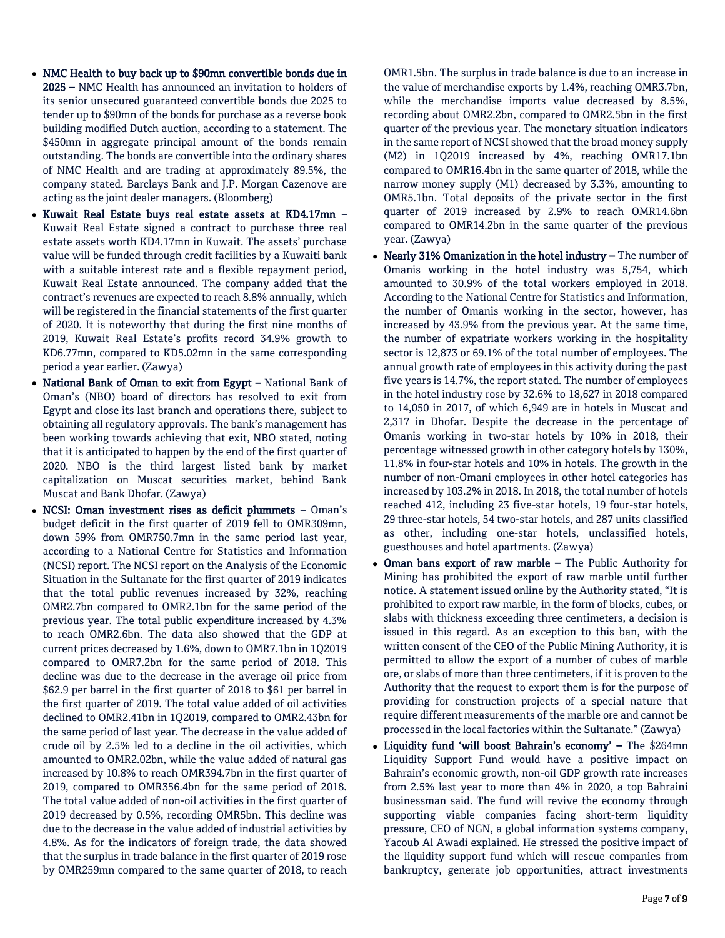- NMC Health to buy back up to \$90mn convertible bonds due in 2025 – NMC Health has announced an invitation to holders of its senior unsecured guaranteed convertible bonds due 2025 to tender up to \$90mn of the bonds for purchase as a reverse book building modified Dutch auction, according to a statement. The \$450mn in aggregate principal amount of the bonds remain outstanding. The bonds are convertible into the ordinary shares of NMC Health and are trading at approximately 89.5%, the company stated. Barclays Bank and J.P. Morgan Cazenove are acting as the joint dealer managers. (Bloomberg)
- Kuwait Real Estate buys real estate assets at KD4.17mn Kuwait Real Estate signed a contract to purchase three real estate assets worth KD4.17mn in Kuwait. The assets' purchase value will be funded through credit facilities by a Kuwaiti bank with a suitable interest rate and a flexible repayment period, Kuwait Real Estate announced. The company added that the contract's revenues are expected to reach 8.8% annually, which will be registered in the financial statements of the first quarter of 2020. It is noteworthy that during the first nine months of 2019, Kuwait Real Estate's profits record 34.9% growth to KD6.77mn, compared to KD5.02mn in the same corresponding period a year earlier. (Zawya)
- National Bank of Oman to exit from Egypt National Bank of Oman's (NBO) board of directors has resolved to exit from Egypt and close its last branch and operations there, subject to obtaining all regulatory approvals. The bank's management has been working towards achieving that exit, NBO stated, noting that it is anticipated to happen by the end of the first quarter of 2020. NBO is the third largest listed bank by market capitalization on Muscat securities market, behind Bank Muscat and Bank Dhofar. (Zawya)
- NCSI: Oman investment rises as deficit plummets Oman's budget deficit in the first quarter of 2019 fell to OMR309mn, down 59% from OMR750.7mn in the same period last year, according to a National Centre for Statistics and Information (NCSI) report. The NCSI report on the Analysis of the Economic Situation in the Sultanate for the first quarter of 2019 indicates that the total public revenues increased by 32%, reaching OMR2.7bn compared to OMR2.1bn for the same period of the previous year. The total public expenditure increased by 4.3% to reach OMR2.6bn. The data also showed that the GDP at current prices decreased by 1.6%, down to OMR7.1bn in 1Q2019 compared to OMR7.2bn for the same period of 2018. This decline was due to the decrease in the average oil price from \$62.9 per barrel in the first quarter of 2018 to \$61 per barrel in the first quarter of 2019. The total value added of oil activities declined to OMR2.41bn in 1Q2019, compared to OMR2.43bn for the same period of last year. The decrease in the value added of crude oil by 2.5% led to a decline in the oil activities, which amounted to OMR2.02bn, while the value added of natural gas increased by 10.8% to reach OMR394.7bn in the first quarter of 2019, compared to OMR356.4bn for the same period of 2018. The total value added of non-oil activities in the first quarter of 2019 decreased by 0.5%, recording OMR5bn. This decline was due to the decrease in the value added of industrial activities by 4.8%. As for the indicators of foreign trade, the data showed that the surplus in trade balance in the first quarter of 2019 rose by OMR259mn compared to the same quarter of 2018, to reach

OMR1.5bn. The surplus in trade balance is due to an increase in the value of merchandise exports by 1.4%, reaching OMR3.7bn, while the merchandise imports value decreased by 8.5%, recording about OMR2.2bn, compared to OMR2.5bn in the first quarter of the previous year. The monetary situation indicators in the same report of NCSI showed that the broad money supply (M2) in 1Q2019 increased by 4%, reaching OMR17.1bn compared to OMR16.4bn in the same quarter of 2018, while the narrow money supply (M1) decreased by 3.3%, amounting to OMR5.1bn. Total deposits of the private sector in the first quarter of 2019 increased by 2.9% to reach OMR14.6bn compared to OMR14.2bn in the same quarter of the previous year. (Zawya)

- Nearly 31% Omanization in the hotel industry The number of Omanis working in the hotel industry was 5,754, which amounted to 30.9% of the total workers employed in 2018. According to the National Centre for Statistics and Information, the number of Omanis working in the sector, however, has increased by 43.9% from the previous year. At the same time, the number of expatriate workers working in the hospitality sector is 12,873 or 69.1% of the total number of employees. The annual growth rate of employees in this activity during the past five years is 14.7%, the report stated. The number of employees in the hotel industry rose by 32.6% to 18,627 in 2018 compared to 14,050 in 2017, of which 6,949 are in hotels in Muscat and 2,317 in Dhofar. Despite the decrease in the percentage of Omanis working in two-star hotels by 10% in 2018, their percentage witnessed growth in other category hotels by 130%, 11.8% in four-star hotels and 10% in hotels. The growth in the number of non-Omani employees in other hotel categories has increased by 103.2% in 2018. In 2018, the total number of hotels reached 412, including 23 five-star hotels, 19 four-star hotels, 29 three-star hotels, 54 two-star hotels, and 287 units classified as other, including one-star hotels, unclassified hotels, guesthouses and hotel apartments. (Zawya)
- Oman bans export of raw marble The Public Authority for Mining has prohibited the export of raw marble until further notice. A statement issued online by the Authority stated, "It is prohibited to export raw marble, in the form of blocks, cubes, or slabs with thickness exceeding three centimeters, a decision is issued in this regard. As an exception to this ban, with the written consent of the CEO of the Public Mining Authority, it is permitted to allow the export of a number of cubes of marble ore, or slabs of more than three centimeters, if it is proven to the Authority that the request to export them is for the purpose of providing for construction projects of a special nature that require different measurements of the marble ore and cannot be processed in the local factories within the Sultanate." (Zawya)
- Liquidity fund 'will boost Bahrain's economy' The \$264mn Liquidity Support Fund would have a positive impact on Bahrain's economic growth, non-oil GDP growth rate increases from 2.5% last year to more than 4% in 2020, a top Bahraini businessman said. The fund will revive the economy through supporting viable companies facing short-term liquidity pressure, CEO of NGN, a global information systems company, Yacoub Al Awadi explained. He stressed the positive impact of the liquidity support fund which will rescue companies from bankruptcy, generate job opportunities, attract investments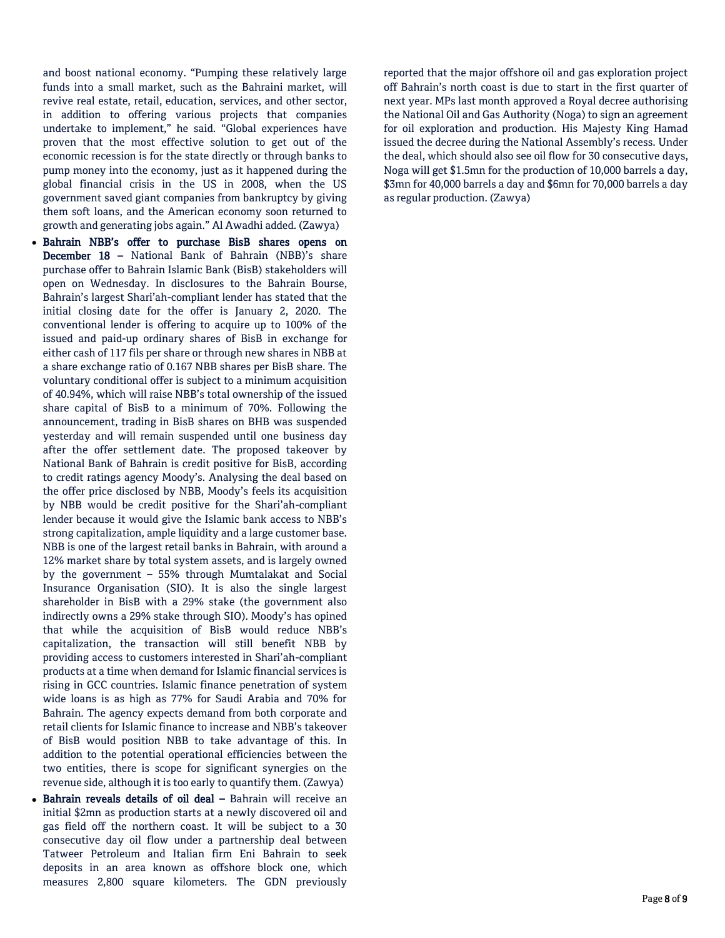and boost national economy. "Pumping these relatively large funds into a small market, such as the Bahraini market, will revive real estate, retail, education, services, and other sector, in addition to offering various projects that companies undertake to implement," he said. "Global experiences have proven that the most effective solution to get out of the economic recession is for the state directly or through banks to pump money into the economy, just as it happened during the global financial crisis in the US in 2008, when the US government saved giant companies from bankruptcy by giving them soft loans, and the American economy soon returned to growth and generating jobs again." Al Awadhi added. (Zawya)

- Bahrain NBB's offer to purchase BisB shares opens on December 18 – National Bank of Bahrain (NBB)'s share purchase offer to Bahrain Islamic Bank (BisB) stakeholders will open on Wednesday. In disclosures to the Bahrain Bourse, Bahrain's largest Shari'ah-compliant lender has stated that the initial closing date for the offer is January 2, 2020. The conventional lender is offering to acquire up to 100% of the issued and paid-up ordinary shares of BisB in exchange for either cash of 117 fils per share or through new shares in NBB at a share exchange ratio of 0.167 NBB shares per BisB share. The voluntary conditional offer is subject to a minimum acquisition of 40.94%, which will raise NBB's total ownership of the issued share capital of BisB to a minimum of 70%. Following the announcement, trading in BisB shares on BHB was suspended yesterday and will remain suspended until one business day after the offer settlement date. The proposed takeover by National Bank of Bahrain is credit positive for BisB, according to credit ratings agency Moody's. Analysing the deal based on the offer price disclosed by NBB, Moody's feels its acquisition by NBB would be credit positive for the Shari'ah-compliant lender because it would give the Islamic bank access to NBB's strong capitalization, ample liquidity and a large customer base. NBB is one of the largest retail banks in Bahrain, with around a 12% market share by total system assets, and is largely owned by the government – 55% through Mumtalakat and Social Insurance Organisation (SIO). It is also the single largest shareholder in BisB with a 29% stake (the government also indirectly owns a 29% stake through SIO). Moody's has opined that while the acquisition of BisB would reduce NBB's capitalization, the transaction will still benefit NBB by providing access to customers interested in Shari'ah-compliant products at a time when demand for Islamic financial services is rising in GCC countries. Islamic finance penetration of system wide loans is as high as 77% for Saudi Arabia and 70% for Bahrain. The agency expects demand from both corporate and retail clients for Islamic finance to increase and NBB's takeover of BisB would position NBB to take advantage of this. In addition to the potential operational efficiencies between the two entities, there is scope for significant synergies on the revenue side, although it is too early to quantify them. (Zawya)
- Bahrain reveals details of oil deal Bahrain will receive an initial \$2mn as production starts at a newly discovered oil and gas field off the northern coast. It will be subject to a 30 consecutive day oil flow under a partnership deal between Tatweer Petroleum and Italian firm Eni Bahrain to seek deposits in an area known as offshore block one, which measures 2,800 square kilometers. The GDN previously

reported that the major offshore oil and gas exploration project off Bahrain's north coast is due to start in the first quarter of next year. MPs last month approved a Royal decree authorising the National Oil and Gas Authority (Noga) to sign an agreement for oil exploration and production. His Majesty King Hamad issued the decree during the National Assembly's recess. Under the deal, which should also see oil flow for 30 consecutive days, Noga will get \$1.5mn for the production of 10,000 barrels a day, \$3mn for 40,000 barrels a day and \$6mn for 70,000 barrels a day as regular production. (Zawya)